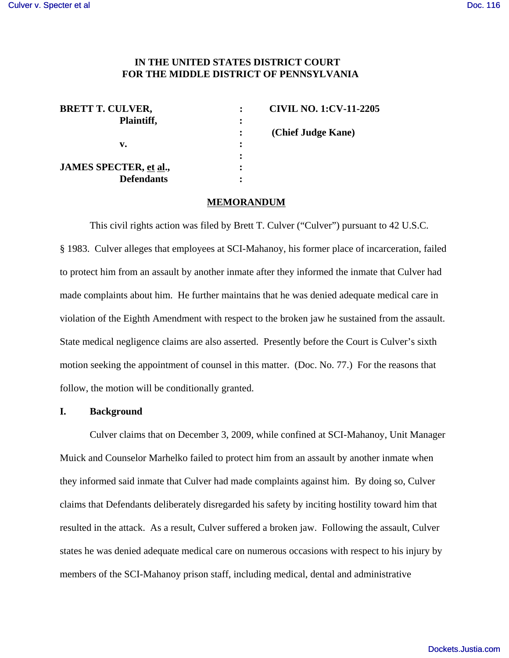## **IN THE UNITED STATES DISTRICT COURT FOR THE MIDDLE DISTRICT OF PENNSYLVANIA**

| <b>BRETT T. CULVER,</b> |           | <b>CIVIL NO. 1:CV-11-2205</b> |
|-------------------------|-----------|-------------------------------|
| Plaintiff,              | ፡         |                               |
|                         |           | (Chief Judge Kane)            |
| v.                      | $\cdot$   |                               |
|                         | ٠         |                               |
| JAMES SPECTER, et al.,  | $\bullet$ |                               |
| <b>Defendants</b>       | ٠         |                               |

### **MEMORANDUM**

This civil rights action was filed by Brett T. Culver ("Culver") pursuant to 42 U.S.C. § 1983. Culver alleges that employees at SCI-Mahanoy, his former place of incarceration, failed to protect him from an assault by another inmate after they informed the inmate that Culver had made complaints about him. He further maintains that he was denied adequate medical care in violation of the Eighth Amendment with respect to the broken jaw he sustained from the assault. State medical negligence claims are also asserted. Presently before the Court is Culver's sixth motion seeking the appointment of counsel in this matter. (Doc. No. 77.) For the reasons that follow, the motion will be conditionally granted.

# **I. Background**

Culver claims that on December 3, 2009, while confined at SCI-Mahanoy, Unit Manager Muick and Counselor Marhelko failed to protect him from an assault by another inmate when they informed said inmate that Culver had made complaints against him. By doing so, Culver claims that Defendants deliberately disregarded his safety by inciting hostility toward him that resulted in the attack. As a result, Culver suffered a broken jaw. Following the assault, Culver states he was denied adequate medical care on numerous occasions with respect to his injury by members of the SCI-Mahanoy prison staff, including medical, dental and administrative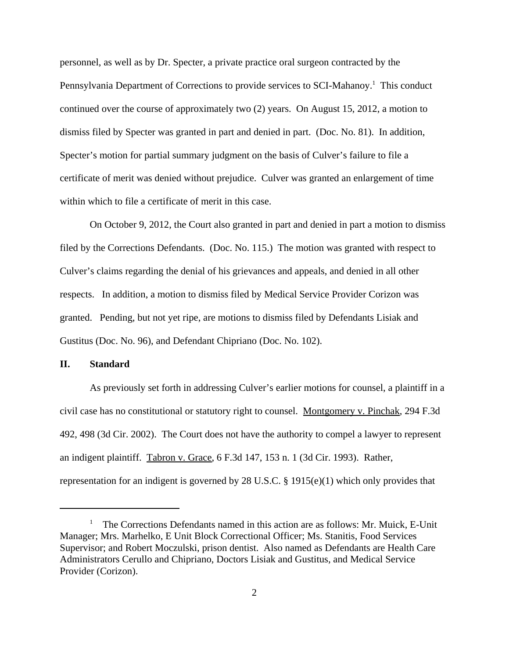personnel, as well as by Dr. Specter, a private practice oral surgeon contracted by the Pennsylvania Department of Corrections to provide services to SCI-Mahanoy.<sup>1</sup> This conduct continued over the course of approximately two (2) years. On August 15, 2012, a motion to dismiss filed by Specter was granted in part and denied in part. (Doc. No. 81). In addition, Specter's motion for partial summary judgment on the basis of Culver's failure to file a certificate of merit was denied without prejudice. Culver was granted an enlargement of time within which to file a certificate of merit in this case.

On October 9, 2012, the Court also granted in part and denied in part a motion to dismiss filed by the Corrections Defendants. (Doc. No. 115.) The motion was granted with respect to Culver's claims regarding the denial of his grievances and appeals, and denied in all other respects. In addition, a motion to dismiss filed by Medical Service Provider Corizon was granted. Pending, but not yet ripe, are motions to dismiss filed by Defendants Lisiak and Gustitus (Doc. No. 96), and Defendant Chipriano (Doc. No. 102).

### **II. Standard**

As previously set forth in addressing Culver's earlier motions for counsel, a plaintiff in a civil case has no constitutional or statutory right to counsel. Montgomery v. Pinchak, 294 F.3d 492, 498 (3d Cir. 2002). The Court does not have the authority to compel a lawyer to represent an indigent plaintiff. Tabron v. Grace, 6 F.3d 147, 153 n. 1 (3d Cir. 1993). Rather, representation for an indigent is governed by 28 U.S.C. § 1915(e)(1) which only provides that

<sup>&</sup>lt;sup>1</sup> The Corrections Defendants named in this action are as follows: Mr. Muick, E-Unit Manager; Mrs. Marhelko, E Unit Block Correctional Officer; Ms. Stanitis, Food Services Supervisor; and Robert Moczulski, prison dentist. Also named as Defendants are Health Care Administrators Cerullo and Chipriano, Doctors Lisiak and Gustitus, and Medical Service Provider (Corizon).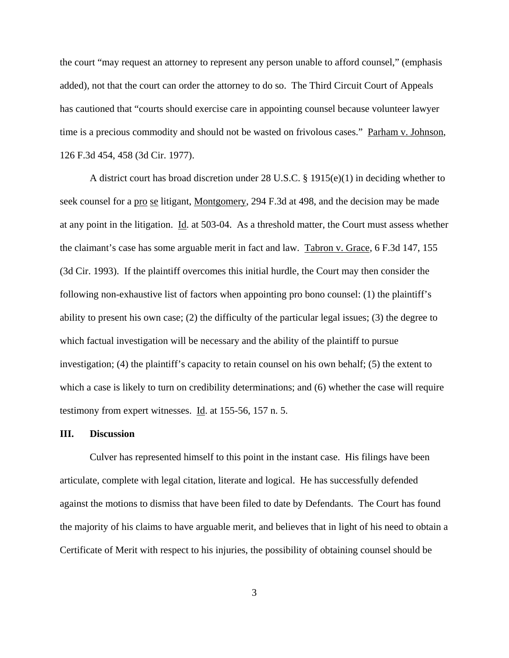the court "may request an attorney to represent any person unable to afford counsel," (emphasis added), not that the court can order the attorney to do so. The Third Circuit Court of Appeals has cautioned that "courts should exercise care in appointing counsel because volunteer lawyer time is a precious commodity and should not be wasted on frivolous cases." Parham v. Johnson, 126 F.3d 454, 458 (3d Cir. 1977).

A district court has broad discretion under 28 U.S.C. § 1915(e)(1) in deciding whether to seek counsel for a pro se litigant, Montgomery, 294 F.3d at 498, and the decision may be made at any point in the litigation. Id. at 503-04. As a threshold matter, the Court must assess whether the claimant's case has some arguable merit in fact and law. Tabron v. Grace, 6 F.3d 147, 155 (3d Cir. 1993). If the plaintiff overcomes this initial hurdle, the Court may then consider the following non-exhaustive list of factors when appointing pro bono counsel: (1) the plaintiff's ability to present his own case; (2) the difficulty of the particular legal issues; (3) the degree to which factual investigation will be necessary and the ability of the plaintiff to pursue investigation; (4) the plaintiff's capacity to retain counsel on his own behalf; (5) the extent to which a case is likely to turn on credibility determinations; and (6) whether the case will require testimony from expert witnesses. Id. at 155-56, 157 n. 5.

## **III. Discussion**

Culver has represented himself to this point in the instant case. His filings have been articulate, complete with legal citation, literate and logical. He has successfully defended against the motions to dismiss that have been filed to date by Defendants. The Court has found the majority of his claims to have arguable merit, and believes that in light of his need to obtain a Certificate of Merit with respect to his injuries, the possibility of obtaining counsel should be

3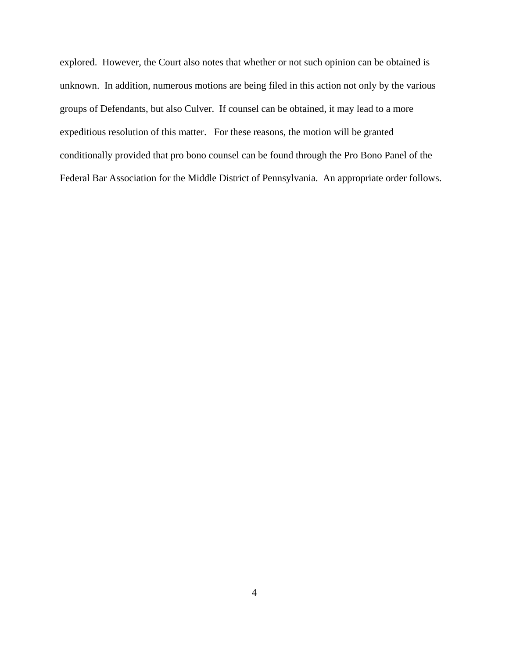explored. However, the Court also notes that whether or not such opinion can be obtained is unknown. In addition, numerous motions are being filed in this action not only by the various groups of Defendants, but also Culver. If counsel can be obtained, it may lead to a more expeditious resolution of this matter. For these reasons, the motion will be granted conditionally provided that pro bono counsel can be found through the Pro Bono Panel of the Federal Bar Association for the Middle District of Pennsylvania. An appropriate order follows.